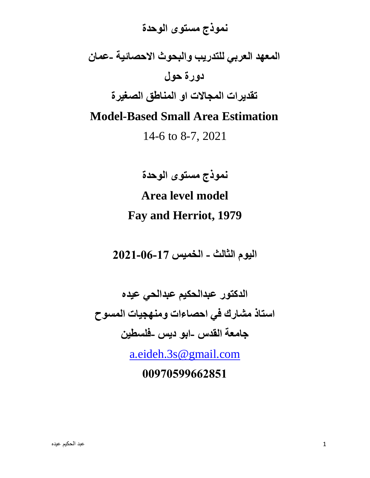# **نموذج مستوى الوحدة المعهد العربي للتدريب والبحوث االحصائية -عمان دورة حول تقديرات المجاالت او المناطق الصغيرة Model-Based Small Area Estimation** 14-6 to 8-7, 2021

**نموذج مستوى الوحدة** 

# **Area level model Fay and Herriot, 1979**

**اليوم الثالث - الخميس -17 -06 2021**

**الدكتور عبدالحكيم عبدالحي عيده استاذ مشارك في احصاءات ومنهجيات المسوح جامعة القدس -ابو ديس -فلسطين** 

[a.eideh.3s@gmail.com](mailto:a.eideh.3s@gmail.com)

**00970599662851**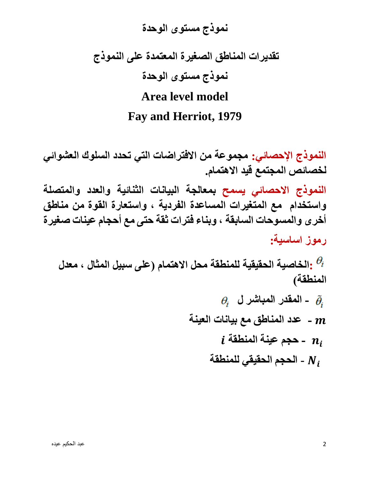# **نموذج مستوى الوحدة تقديرات المناطق الصغيرة المعتمدة على النموذج نموذج مستوى الوحدة Area level model Fay and Herriot, 1979**

**النموذج اإلحصائي: مجموعة من االفتراضات التي تحدد السلوك العشوائي لخصائص المجتمع قيد االهتمام.**

**النموذج االحصائي يسمح بمعالجة البيانات الثنائية والعدد والمتصلة واستخدام مع المتغيرات المساعدة الفردية ، واستعارة القوة من مناطق أخرى والمسوحات السابقة ، وبناء فترات ثقة حتى مع أحجام عينات صغيرة رموز اساسية:** 

**:الخاصية الحقيقية للمنطقة محل االهتمام )على سبيل المثال ، معدل المنطقة(** 

$$
\theta_i
$$
 - المقدر المباشر ل 
$$
\theta_i
$$
 - عدد المناظق مع بيانات العينة 1  
10 - حجم عينة المنطقة 
$$
i
$$
 11 -  
10 - الحجم الحقيةي للمنطقة 1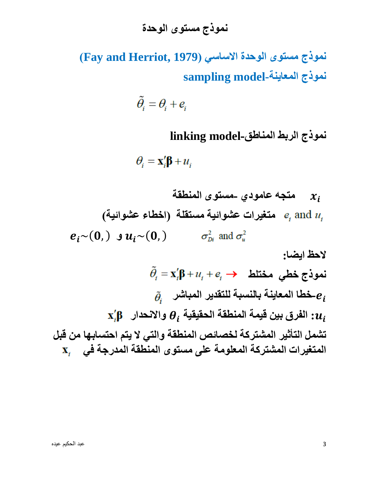**نموذج مستوى الوحدة االساسي ) 1979 ,Herriot and Fay ) نموذج المعاينة-model sampling**

$$
\widetilde{\theta}_i = \theta_i + e_i
$$

**نموذج الربط المناطق-model linking**

 $\theta_i = \mathbf{x}'_i \mathbf{\beta} + u_i$ 

 $\mathcal{X}_i$  **متجه عامودي -مستوى المنطقة متغيرات عشوائية مستقلة )اخطاء عشوائية(**   $e_i \sim (0, )$  **g**  $u_i \sim (0, )$   $\sigma_{\text{D}i}^2$  and  $\sigma_{\text{D}i}^2$ 

**الحظ ايضا:**  $\tilde{\theta}_i = \mathbf{x}_i' \mathbf{\beta} + u_i + e_i \rightarrow$ نموذج خطی مختلط **-خطا المعاينة بالنسبة للتقدير المباشر الفرق بين قيمة المنطقة الحقيقية : واالنحدار تشمل التأثير المشتركة لخصائص المنطقة والتي ال يتم احتسابها من قبل المتغيرات المشتركة المعلومة على مستوى المنطقة المدرجة في**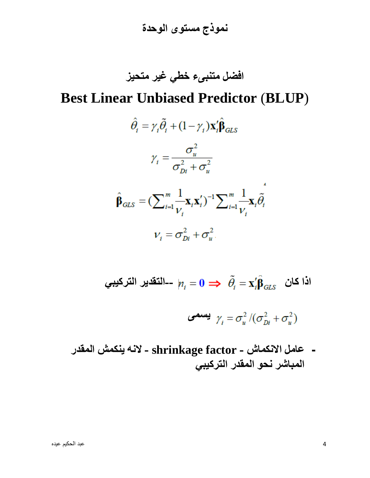**نموذج مستوى الوحدة** 

**افضل متنبىء خطي غير متحيز** 

# **Best Linear Unbiased Predictor** (**BLUP**)

$$
\hat{\theta}_i = \gamma_i \tilde{\theta}_i + (1 - \gamma_i) \mathbf{x}_i' \hat{\mathbf{\beta}}_{GLS}
$$
\n
$$
\gamma_i = \frac{\sigma_u^2}{\sigma_{Di}^2 + \sigma_u^2}
$$
\n
$$
\hat{\mathbf{\beta}}_{GLS} = (\sum_{i=1}^m \frac{1}{V_i} \mathbf{x}_i \mathbf{x}_i')^{-1} \sum_{i=1}^m \frac{1}{V_i} \mathbf{x}_i \tilde{\theta}_i
$$
\n
$$
V_i = \sigma_{Di}^2 + \sigma_u^2
$$

لداٰ کان 
$$
\tilde{\theta}_i = \mathbf{X}_i' \hat{\mathbf{B}}_{GLS}
$$
انٔ  \n $n_i = 0 \implies \tilde{\theta}_i = \mathbf{X}_i' \hat{\mathbf{B}}_{GLS}$ 

$$
\mathbf{y}_i = \sigma_u^2 / (\sigma_{Di}^2 + \sigma_u^2)
$$

**- عامل االنكماش - factor shrinkage - النه ينكمش المقدر المباشر نحو المقدر التركيبي**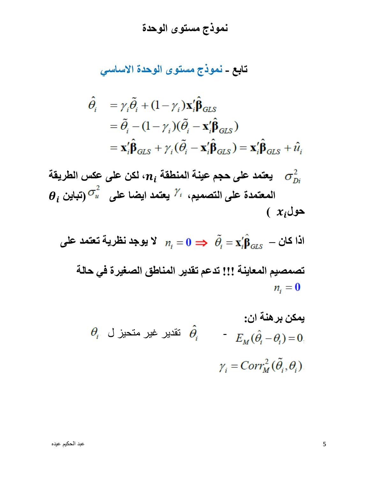# **تابع - نموذج مستوى الوحدة االساسي**

$$
\hat{\theta}_{i} = \gamma_{i} \tilde{\theta}_{i} + (1 - \gamma_{i}) \mathbf{x}_{i}' \hat{\mathbf{\beta}}_{GLS} \n= \tilde{\theta}_{i} - (1 - \gamma_{i}) (\tilde{\theta}_{i} - \mathbf{x}_{i}' \hat{\mathbf{\beta}}_{GLS}) \n= \mathbf{x}_{i}' \hat{\mathbf{\beta}}_{GLS} + \gamma_{i} (\tilde{\theta}_{i} - \mathbf{x}_{i}' \hat{\mathbf{\beta}}_{GLS}) = \mathbf{x}_{i}' \hat{\mathbf{\beta}}_{GLS} + \hat{u}_{i}
$$

يعتمد على حجم عينة المنطقة 
$$
n_i
$$
 اکن على عاس الطريقة  $\theta_i$  (تبان ب $\theta_i$  (تبان بلاريةة والتصميم،  $i^{\lambda}$  يعتمد ايضا على  $x_i$  (تبان بلار $x_i$ 

$$
n_i = 0 \implies \tilde{\theta}_i = \mathbf{x}'_i \hat{\beta}_{GLS} - 2 \mathbf{i} \mathbf{i}
$$

تصمصيم المعاينة !!! تدم تقدير المناطق الصغيرة في حالة  
n
$$
n_i=0
$$

یمکن بره<sup>ن</sup>۵ ن: 
$$
\hat{\theta}_i = E_M(\hat{\theta}_i - \theta_i) = 0,
$$

$$
\gamma_i = Corr_M^2(\tilde{\theta}_i, \theta_i).
$$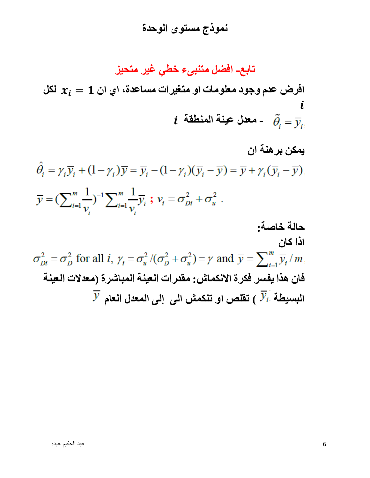**تابع- افضل متنبىء خطي غير متحيز** 

افرض عدم وجود معلومات او متغيرات مساعدة، اي ان 1 $\bm{x}_{\bm{i}} = \bm{x}$  لكل  **- معدل عينة المنطقة** 

**يمكن برهنة ان**   $\hat{\theta}_i = \gamma_i \overline{y}_i + (1 - \gamma_i) \overline{y} = \overline{y}_i - (1 - \gamma_i) (\overline{y}_i - \overline{y}) = \overline{y} + \gamma_i (\overline{y}_i - \overline{y})$  $\overline{y} = (\sum_{i=1}^m \frac{1}{v_i})^{-1} \sum_{i=1}^m \frac{1}{v_i} \overline{y}_i$ ;  $v_i = \sigma_{Di}^2 + \sigma_u^2$ . **حالة خاصة: اذا كان**   $\sigma_{Di}^2 = \sigma_D^2$  for all i,  $\gamma_i = \sigma_u^2/(\sigma_D^2 + \sigma_u^2) = \gamma$  and  $\overline{y} = \sum_{i=1}^m \overline{y}_i/m_i$ **فان هذا يفسر فكرة االنكماش: مقدرات العينة المباشرة )معدالت العينة**   $\overline{\mathcal{Y}}$  البسيطة  $\overline{\mathcal{Y}_i}$  ) تقلص او تنكمش الى  $\overline{\mathcal{Y}}_i$  المعدل العام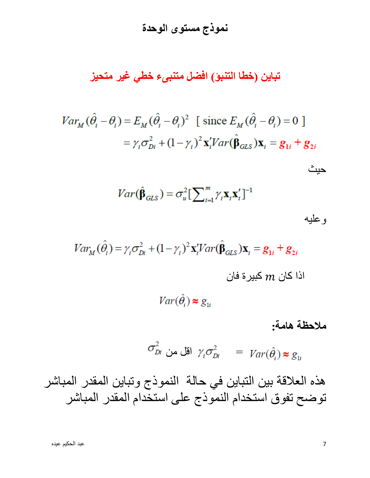**تباين )خطا التنبؤ( افضل متنبىء خطي غير متحيز** 

$$
Var_M(\hat{\theta}_i - \theta_i) = E_M(\hat{\theta}_i - \theta_i)^2 \quad \text{[ since } E_M(\hat{\theta}_i - \theta_i) = 0 \text{]}
$$
\n
$$
= \gamma_i \sigma_{Di}^2 + (1 - \gamma_i)^2 \mathbf{x}_i^{\prime} Var(\hat{\beta}_{GLS}) \mathbf{x}_i = \mathbf{g}_{1i} + \mathbf{g}_{2i}
$$

$$
Var(\hat{\boldsymbol{\beta}}_{GLS}) = \sigma_u^2 \left[\sum_{i=1}^m \gamma_i \mathbf{x}_i \mathbf{x}_i'\right]^{-1}
$$

| ź<br>s |  |
|--------|--|
|        |  |

حيث

$$
Var_{M}(\hat{\theta}_{i}) = \gamma_{i}\sigma_{Di}^{2} + (1 - \gamma_{i})^{2} \mathbf{x}'_{i} Var(\hat{\beta}_{GLS})\mathbf{x}_{i} = \mathbf{g}_{1i} + \mathbf{g}_{2i}
$$
  
انا کان 
$$
Var(\hat{\theta}_{i}) \approx g_{1i}
$$

#### **مالحظة هامة:**

$$
\sigma_{Di}^2 \quad \text{and} \quad \gamma_i \sigma_{Di}^2 \quad = \quad \text{Var}(\hat{\theta}_i) \approx g_{1i}
$$

هذه العالقة بين التباين في حالة النموذج وتباين المقدر المباشر توضح تفوق استخدام النموذج على استخدام المقدر المباشر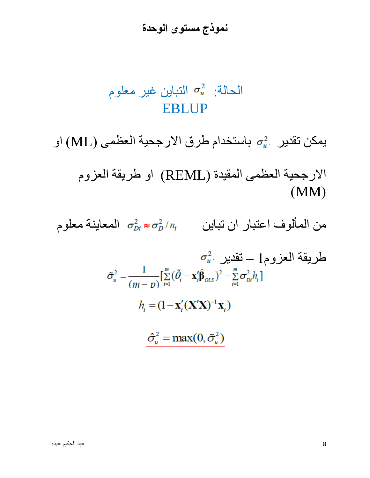# الحالة:  $\sigma_u^2$  التباين غير معلوم EBLUP

يمكن تقدير  $\sigma_u^2$  باستخدام طرق الارجحية العظمى (ML) او

االرجحية العظمى المقيدة )REML )او طريقة العزوم  $(MM)$ 

من المألوف اعتبار ان تباين ال $\sigma_D^2/\eta_i = \sigma_D^2/\eta_i$  المعاينة معلوم

$$
\sigma_u^2
$$
 
$$
1 = \sigma_u^2
$$

$$
\tilde{\sigma}_u^2 = \frac{1}{(m - v)} \left[ \sum_{i=1}^m (\tilde{\theta}_i - \mathbf{x}_i' \hat{\beta}_{OLS})^2 - \sum_{i=1}^m \sigma_{Di}^2 h_i \right]
$$

$$
h_i = (1 - \mathbf{x}_i' (\mathbf{X}' \mathbf{X})^{-1} \mathbf{x}_i)
$$

 $\hat{\sigma}_u^2 = \max(0, \tilde{\sigma}_u^2)$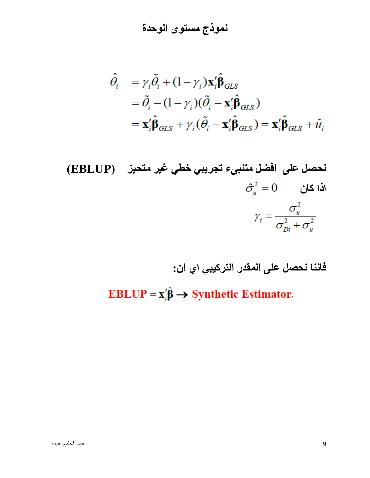**نموذج مستوى الوحدة** 

$$
\hat{\theta}_{i} = \gamma_{i} \tilde{\theta}_{i} + (1 - \gamma_{i}) \mathbf{x}_{i}' \hat{\mathbf{\beta}}_{GLS} \n= \tilde{\theta}_{i} - (1 - \gamma_{i}) (\tilde{\theta}_{i} - \mathbf{x}_{i}' \hat{\mathbf{\beta}}_{GLS}) \n= \mathbf{x}_{i}' \hat{\mathbf{\beta}}_{GLS} + \gamma_{i} (\tilde{\theta}_{i} - \mathbf{x}_{i}' \hat{\mathbf{\beta}}_{GLS}) = \mathbf{x}_{i}' \hat{\mathbf{\beta}}_{GLS} + \hat{u}_{i}
$$

(EBLUP)

\n
$$
\begin{aligned}\n\hat{\sigma}_{u}^{2} &= 0 \\
\hat{\sigma}_{u}^{2} &= 0\n\end{aligned}
$$
\n(EBLUP)

\n
$$
\gamma_{i} = \frac{\sigma_{u}^{2}}{\sigma_{Di}^{2} + \sigma_{u}^{2}}
$$

**فاننا نحصل على المقدر التركيبي اي ان:**

EBLUP =  $x'_i \hat{\beta} \rightarrow$  Synthetic Estimator.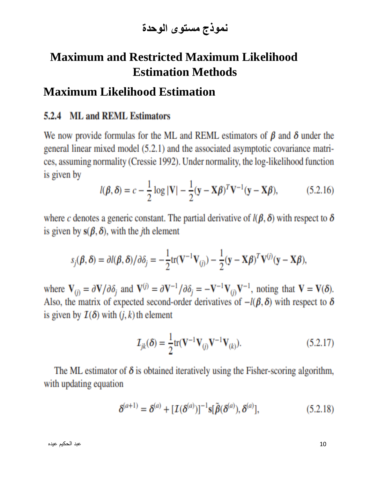## **Maximum and Restricted Maximum Likelihood Estimation Methods**

#### **Maximum Likelihood Estimation**

#### 5.2.4 ML and REML Estimators

We now provide formulas for the ML and REML estimators of  $\beta$  and  $\delta$  under the general linear mixed model (5.2.1) and the associated asymptotic covariance matrices, assuming normality (Cressie 1992). Under normality, the log-likelihood function is given by

$$
l(\boldsymbol{\beta}, \boldsymbol{\delta}) = c - \frac{1}{2} \log |\mathbf{V}| - \frac{1}{2} (\mathbf{y} - \mathbf{X}\boldsymbol{\beta})^T \mathbf{V}^{-1} (\mathbf{y} - \mathbf{X}\boldsymbol{\beta}),
$$
(5.2.16)

where c denotes a generic constant. The partial derivative of  $l(\beta, \delta)$  with respect to  $\delta$ is given by  $s(\beta, \delta)$ , with the *j*th element

$$
s_j(\boldsymbol{\beta}, \boldsymbol{\delta}) = \partial l(\boldsymbol{\beta}, \boldsymbol{\delta}) / \partial \delta_j = -\frac{1}{2} tr(\mathbf{V}^{-1} \mathbf{V}_{(j)}) - \frac{1}{2} (\mathbf{y} - \mathbf{X} \boldsymbol{\beta})^T \mathbf{V}^{(j)} (\mathbf{y} - \mathbf{X} \boldsymbol{\beta}),
$$

where  $\mathbf{V}_{(i)} = \partial \mathbf{V}/\partial \delta_i$  and  $\mathbf{V}^{(i)} = \partial \mathbf{V}^{-1}/\partial \delta_i = -\mathbf{V}^{-1} \mathbf{V}_{(i)} \mathbf{V}^{-1}$ , noting that  $\mathbf{V} = \mathbf{V}(\delta)$ . Also, the matrix of expected second-order derivatives of  $-l(\beta, \delta)$  with respect to  $\delta$ is given by  $\mathcal{I}(\delta)$  with  $(j, k)$  th element

$$
\mathcal{I}_{jk}(\delta) = \frac{1}{2} tr(\mathbf{V}^{-1} \mathbf{V}_{(j)} \mathbf{V}^{-1} \mathbf{V}_{(k)}).
$$
 (5.2.17)

The ML estimator of  $\delta$  is obtained iteratively using the Fisher-scoring algorithm, with updating equation

$$
\delta^{(a+1)} = \delta^{(a)} + [I(\delta^{(a)})]^{-1} \mathbf{s} [\tilde{\beta}(\delta^{(a)}), \delta^{(a)}], \tag{5.2.18}
$$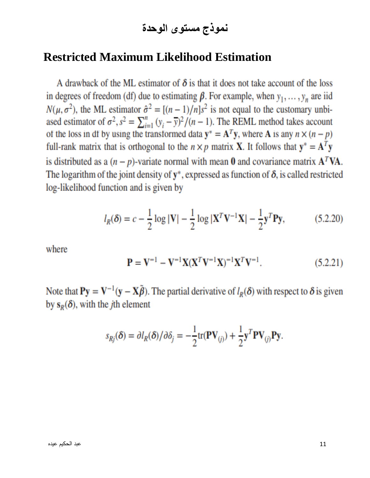**نموذج مستوى الوحدة** 

#### **Restricted Maximum Likelihood Estimation**

A drawback of the ML estimator of  $\delta$  is that it does not take account of the loss in degrees of freedom (df) due to estimating  $\beta$ . For example, when  $y_1, \dots, y_n$  are iid  $N(\mu, \sigma^2)$ , the ML estimator  $\hat{\sigma}^2 = [(n-1)/n]s^2$  is not equal to the customary unbiased estimator of  $\sigma^2$ ,  $s^2 = \sum_{i=1}^n (y_i - \overline{y})^2 / (n-1)$ . The REML method takes account of the loss in df by using the transformed data  $y^* = A^T y$ , where A is any  $n \times (n - p)$ full-rank matrix that is orthogonal to the  $n \times p$  matrix **X**. It follows that  $y^* = A^T y$ is distributed as a  $(n - p)$ -variate normal with mean 0 and covariance matrix  $A^T V A$ . The logarithm of the joint density of  $y^*$ , expressed as function of  $\delta$ , is called restricted log-likelihood function and is given by

$$
l_R(\delta) = c - \frac{1}{2} \log |\mathbf{V}| - \frac{1}{2} \log |\mathbf{X}^T \mathbf{V}^{-1} \mathbf{X}| - \frac{1}{2} \mathbf{y}^T \mathbf{P} \mathbf{y},
$$
(5.2.20)

where

$$
\mathbf{P} = \mathbf{V}^{-1} - \mathbf{V}^{-1} \mathbf{X} (\mathbf{X}^T \mathbf{V}^{-1} \mathbf{X})^{-1} \mathbf{X}^T \mathbf{V}^{-1}.
$$
 (5.2.21)

Note that  $Py = V^{-1}(y - X\tilde{\beta})$ . The partial derivative of  $l_R(\delta)$  with respect to  $\delta$  is given by  $s_R(\delta)$ , with the *j*th element

$$
s_{Rj}(\delta) = \partial l_R(\delta) / \partial \delta_j = -\frac{1}{2} \text{tr}(\mathbf{PV}_{(j)}) + \frac{1}{2} \mathbf{y}^T \mathbf{PV}_{(j)} \mathbf{Py}.
$$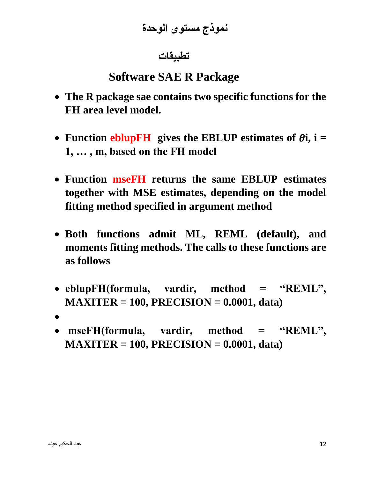### **تطبيقات**

# **Software SAE R Package**

- **The R package sae contains two specific functions for the FH area level model.**
- Function eblup **FH** gives the EBLUP estimates of  $\theta$ **i**, **i** = **1, … , m, based on the FH model**
- **Function mseFH returns the same EBLUP estimates together with MSE estimates, depending on the model fitting method specified in argument method**
- **Both functions admit ML, REML (default), and moments fitting methods. The calls to these functions are as follows**
- **eblupFH(formula, vardir, method = "REML", MAXITER = 100, PRECISION = 0.0001, data)**
- •
- **mseFH(formula, vardir, method = "REML", MAXITER = 100, PRECISION = 0.0001, data)**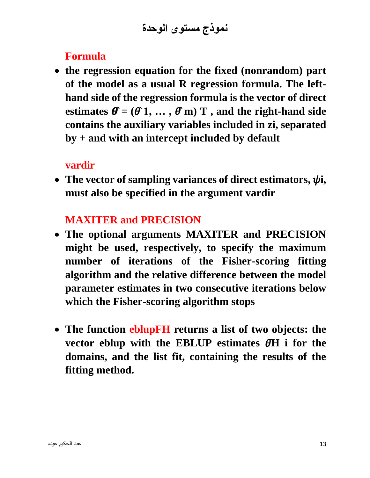**نموذج مستوى الوحدة** 

#### **Formula**

• **the regression equation for the fixed (nonrandom) part of the model as a usual R regression formula. The lefthand side of the regression formula is the vector of direct**  estimates  $\mathbf{\theta} = (\mathbf{\theta} \mathbf{1}, \dots, \mathbf{\theta} \mathbf{m}) \mathbf{T}$ , and the right-hand side **contains the auxiliary variables included in zi, separated by + and with an intercept included by default**

#### **vardir**

• The vector of sampling variances of direct estimators,  $\psi$ *i*, **must also be specified in the argument vardir**

### **MAXITER and PRECISION**

- **The optional arguments MAXITER and PRECISION might be used, respectively, to specify the maximum number of iterations of the Fisher-scoring fitting algorithm and the relative difference between the model parameter estimates in two consecutive iterations below which the Fisher-scoring algorithm stops**
- **The function eblupFH returns a list of two objects: the vector eblup with the EBLUP estimates ̂H i for the domains, and the list fit, containing the results of the fitting method.**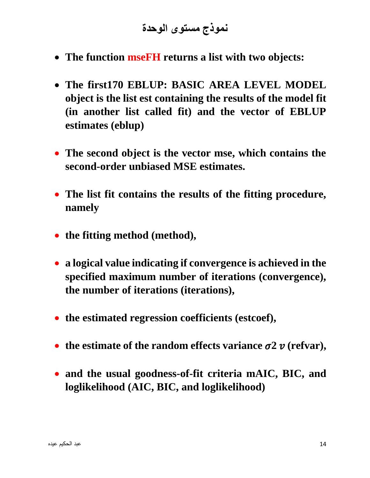- **The function mseFH returns a list with two objects:**
- **The first170 EBLUP: BASIC AREA LEVEL MODEL object is the list est containing the results of the model fit (in another list called fit) and the vector of EBLUP estimates (eblup)**
- **The second object is the vector mse, which contains the second-order unbiased MSE estimates.**
- **The list fit contains the results of the fitting procedure, namely**
- **the fitting method (method),**
- **a logical value indicating if convergence is achieved in the specified maximum number of iterations (convergence), the number of iterations (iterations),**
- **the estimated regression coefficients (estcoef),**
- the estimate of the random effects variance  $\sigma$ 2  $\nu$  (refvar),
- **and the usual goodness-of-fit criteria mAIC, BIC, and loglikelihood (AIC, BIC, and loglikelihood)**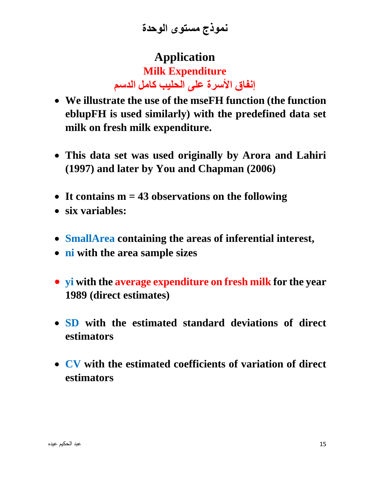**نموذج مستوى الوحدة** 

# **Application Milk Expenditure إنفاق األسرة على الحليب كامل الدسم**

- **We illustrate the use of the mseFH function (the function eblupFH is used similarly) with the predefined data set milk on fresh milk expenditure.**
- **This data set was used originally by Arora and Lahiri (1997) and later by You and Chapman (2006)**
- **It contains m = 43 observations on the following**
- **six variables:**
- **SmallArea containing the areas of inferential interest,**
- **ni with the area sample sizes**
- **yi with the average expenditure on fresh milk for the year 1989 (direct estimates)**
- **SD with the estimated standard deviations of direct estimators**
- **CV with the estimated coefficients of variation of direct estimators**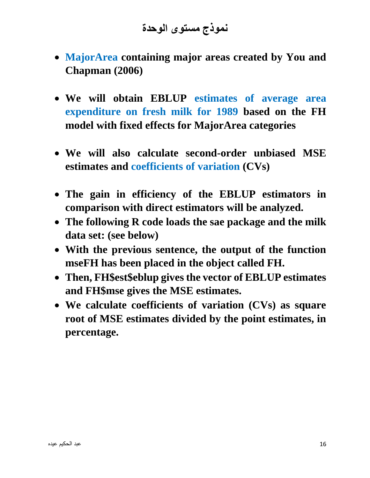**نموذج مستوى الوحدة** 

- **MajorArea containing major areas created by You and Chapman (2006)**
- **We will obtain EBLUP estimates of average area expenditure on fresh milk for 1989 based on the FH model with fixed effects for MajorArea categories**
- **We will also calculate second-order unbiased MSE estimates and coefficients of variation (CVs)**
- **The gain in efficiency of the EBLUP estimators in comparison with direct estimators will be analyzed.**
- **The following R code loads the sae package and the milk data set: (see below)**
- **With the previous sentence, the output of the function mseFH has been placed in the object called FH.**
- **Then, FH\$est\$eblup gives the vector of EBLUP estimates and FH\$mse gives the MSE estimates.**
- **We calculate coefficients of variation (CVs) as square root of MSE estimates divided by the point estimates, in percentage.**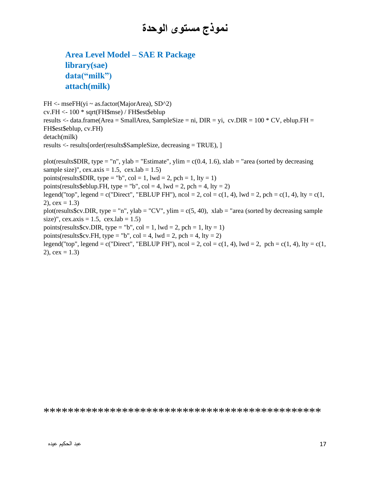#### **Area Level Model – SAE R Package library(sae) data("milk") attach(milk)**

FH <- mseFH(yi ~ as.factor(MajorArea), SD^2) cv.FH <- 100 \* sqrt(FH\$mse) / FH\$est\$eblup results  $\lt$ - data.frame(Area = SmallArea, SampleSize = ni, DIR = yi, cv.DIR = 100  $*$  CV, eblup.FH = FH\$est\$eblup, cv.FH) detach(milk) results <- results[order(results\$SampleSize, decreasing = TRUE), ] plot(results\$DIR, type = "n", ylab = "Estimate", ylim =  $c(0.4, 1.6)$ , xlab = "area (sorted by decreasing sample size)", cex.axis = 1.5, cex.lab = 1.5) points(results\$DIR, type = "b", col = 1, lwd = 2, pch = 1, lty = 1) points(results\$eblup.FH, type = "b", col = 4, lwd = 2, pch = 4, lty = 2) legend("top", legend = c("Direct", "EBLUP FH"),  $ncol = 2$ ,  $col = c(1, 4)$ ,  $lwd = 2$ ,  $pch = c(1, 4)$ ,  $lty = c(1, 4)$  $2)$ , cex = 1.3) plot(results\$cv.DIR, type = "n", ylab = "CV", ylim =  $c(5, 40)$ , xlab = "area (sorted by decreasing sample size)", cex.axis = 1.5, cex.lab = 1.5) points(results\$cv.DIR, type = "b", col = 1, lwd = 2, pch = 1, lty = 1) points(results\$cv.FH, type = "b", col = 4, lwd = 2, pch = 4, lty = 2) legend("top", legend = c("Direct", "EBLUP FH"), ncol = 2, col = c(1, 4), lwd = 2, pch = c(1, 4), lty = c(1,  $2)$ , cex = 1.3)

\*\*\*\*\*\*\*\*\*\*\*\*\*\*\*\*\*\*\*\*\*\*\*\*\*\*\*\*\*\*\*\*\*\*\*\*\*\*\*\*\*\*\*\*\*\*